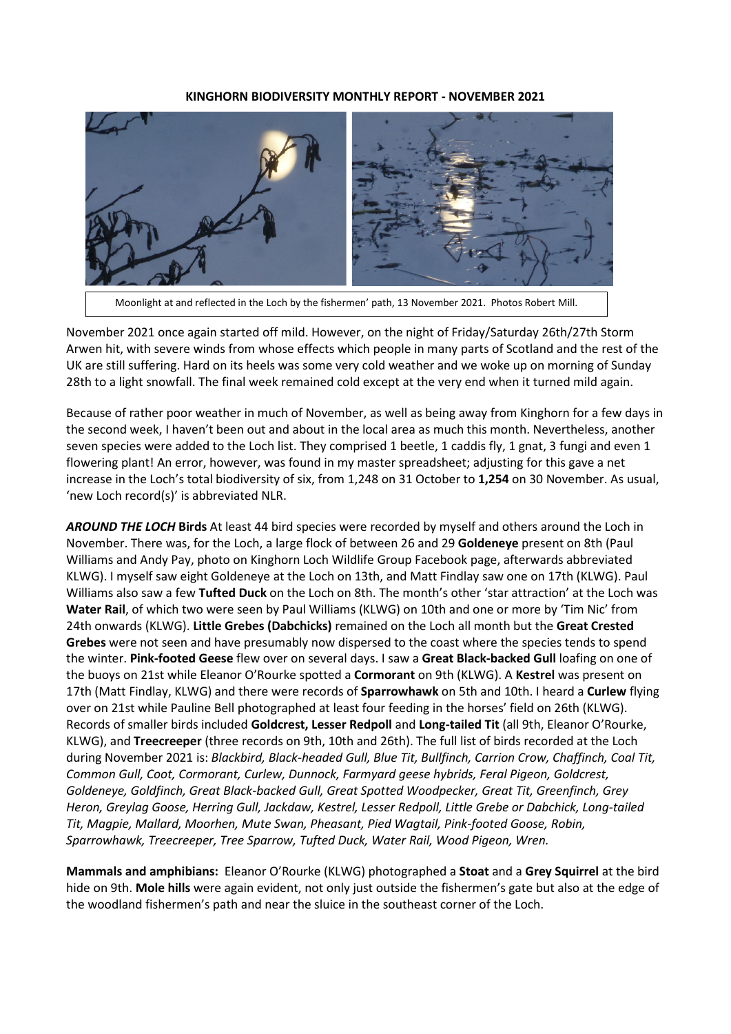#### **KINGHORN BIODIVERSITY MONTHLY REPORT - NOVEMBER 2021**



Moonlight at and reflected in the Loch by the fishermen' path, 13 November 2021. Photos Robert Mill.

November 2021 once again started off mild. However, on the night of Friday/Saturday 26th/27th Storm Arwen hit, with severe winds from whose effects which people in many parts of Scotland and the rest of the UK are still suffering. Hard on its heels was some very cold weather and we woke up on morning of Sunday 28th to a light snowfall. The final week remained cold except at the very end when it turned mild again.

Because of rather poor weather in much of November, as well as being away from Kinghorn for a few days in the second week, I haven't been out and about in the local area as much this month. Nevertheless, another seven species were added to the Loch list. They comprised 1 beetle, 1 caddis fly, 1 gnat, 3 fungi and even 1 flowering plant! An error, however, was found in my master spreadsheet; adjusting for this gave a net increase in the Loch's total biodiversity of six, from 1,248 on 31 October to **1,254** on 30 November. As usual, 'new Loch record(s)' is abbreviated NLR.

*AROUND THE LOCH* **Birds** At least 44 bird species were recorded by myself and others around the Loch in November. There was, for the Loch, a large flock of between 26 and 29 **Goldeneye** present on 8th (Paul Williams and Andy Pay, photo on Kinghorn Loch Wildlife Group Facebook page, afterwards abbreviated KLWG). I myself saw eight Goldeneye at the Loch on 13th, and Matt Findlay saw one on 17th (KLWG). Paul Williams also saw a few **Tufted Duck** on the Loch on 8th. The month's other 'star attraction' at the Loch was **Water Rail**, of which two were seen by Paul Williams (KLWG) on 10th and one or more by 'Tim Nic' from 24th onwards (KLWG). **Little Grebes (Dabchicks)** remained on the Loch all month but the **Great Crested Grebes** were not seen and have presumably now dispersed to the coast where the species tends to spend the winter. **Pink-footed Geese** flew over on several days. I saw a **Great Black-backed Gull** loafing on one of the buoys on 21st while Eleanor O'Rourke spotted a **Cormorant** on 9th (KLWG). A **Kestrel** was present on 17th (Matt Findlay, KLWG) and there were records of **Sparrowhawk** on 5th and 10th. I heard a **Curlew** flying over on 21st while Pauline Bell photographed at least four feeding in the horses' field on 26th (KLWG). Records of smaller birds included **Goldcrest, Lesser Redpoll** and **Long-tailed Tit** (all 9th, Eleanor O'Rourke, KLWG), and **Treecreeper** (three records on 9th, 10th and 26th). The full list of birds recorded at the Loch during November 2021 is: *Blackbird, Black-headed Gull, Blue Tit, Bullfinch, Carrion Crow, Chaffinch, Coal Tit, Common Gull, Coot, Cormorant, Curlew, Dunnock, Farmyard geese hybrids, Feral Pigeon, Goldcrest, Goldeneye, Goldfinch, Great Black-backed Gull, Great Spotted Woodpecker, Great Tit, Greenfinch, Grey Heron, Greylag Goose, Herring Gull, Jackdaw, Kestrel, Lesser Redpoll, Little Grebe or Dabchick, Long-tailed Tit, Magpie, Mallard, Moorhen, Mute Swan, Pheasant, Pied Wagtail, Pink-footed Goose, Robin, Sparrowhawk, Treecreeper, Tree Sparrow, Tufted Duck, Water Rail, Wood Pigeon, Wren.*

**Mammals and amphibians:** Eleanor O'Rourke (KLWG) photographed a **Stoat** and a **Grey Squirrel** at the bird hide on 9th. **Mole hills** were again evident, not only just outside the fishermen's gate but also at the edge of the woodland fishermen's path and near the sluice in the southeast corner of the Loch.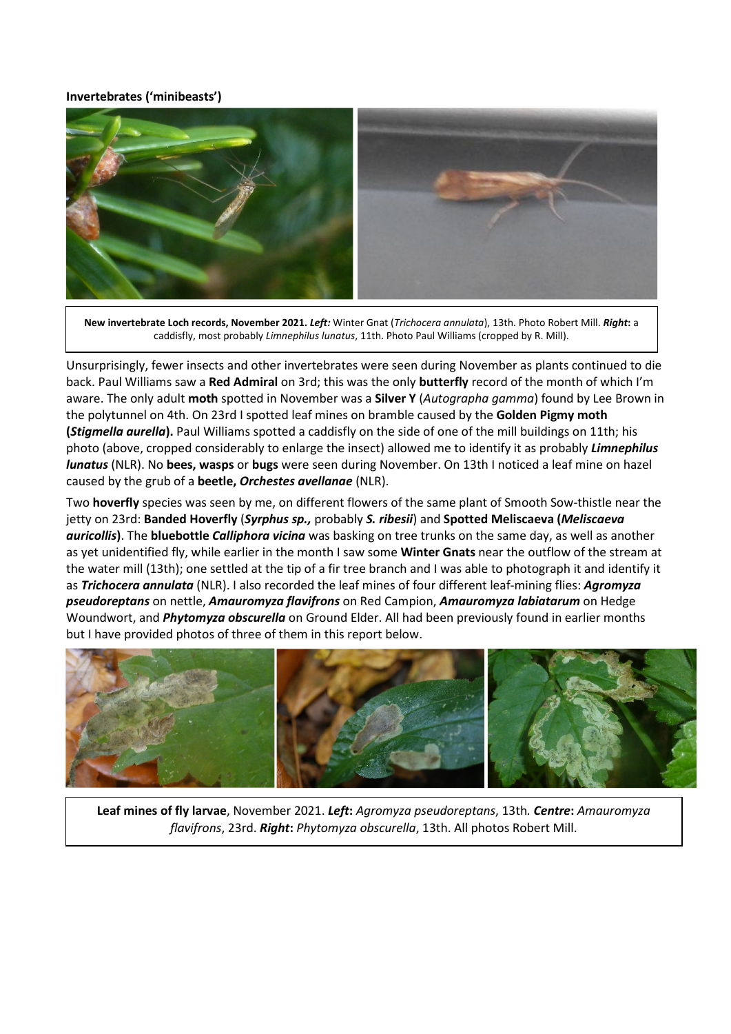## **Invertebrates ('minibeasts')**



**New invertebrate Loch records, November 2021.** *Left:* Winter Gnat (*Trichocera annulata*), 13th. Photo Robert Mill. *Right***:** a caddisfly, most probably *Limnephilus lunatus*, 11th. Photo Paul Williams (cropped by R. Mill).

Unsurprisingly, fewer insects and other invertebrates were seen during November as plants continued to die back. Paul Williams saw a **Red Admiral** on 3rd; this was the only **butterfly** record of the month of which I'm aware. The only adult **moth** spotted in November was a **Silver Y** (*Autographa gamma*) found by Lee Brown in the polytunnel on 4th. On 23rd I spotted leaf mines on bramble caused by the **Golden Pigmy moth (***Stigmella aurella***).** Paul Williams spotted a caddisfly on the side of one of the mill buildings on 11th; his photo (above, cropped considerably to enlarge the insect) allowed me to identify it as probably *Limnephilus lunatus* (NLR). No **bees, wasps** or **bugs** were seen during November. On 13th I noticed a leaf mine on hazel caused by the grub of a **beetle,** *Orchestes avellanae* (NLR).

Two **hoverfly** species was seen by me, on different flowers of the same plant of Smooth Sow-thistle near the jetty on 23rd: **Banded Hoverfly** (*Syrphus sp.,* probably *S. ribesii*) and **Spotted Meliscaeva (***Meliscaeva auricollis***)**. The **bluebottle** *Calliphora vicina* was basking on tree trunks on the same day, as well as another as yet unidentified fly, while earlier in the month I saw some **Winter Gnats** near the outflow of the stream at the water mill (13th); one settled at the tip of a fir tree branch and I was able to photograph it and identify it as *Trichocera annulata* (NLR). I also recorded the leaf mines of four different leaf-mining flies: *Agromyza pseudoreptans* on nettle, *Amauromyza flavifrons* on Red Campion, *Amauromyza labiatarum* on Hedge Woundwort, and *Phytomyza obscurella* on Ground Elder. All had been previously found in earlier months but I have provided photos of three of them in this report below.



**Leaf mines of fly larvae**, November 2021. *Left***:** *Agromyza pseudoreptans*, 13th*. Centre***:** *Amauromyza flavifrons*, 23rd. *Right***:** *Phytomyza obscurella*, 13th. All photos Robert Mill.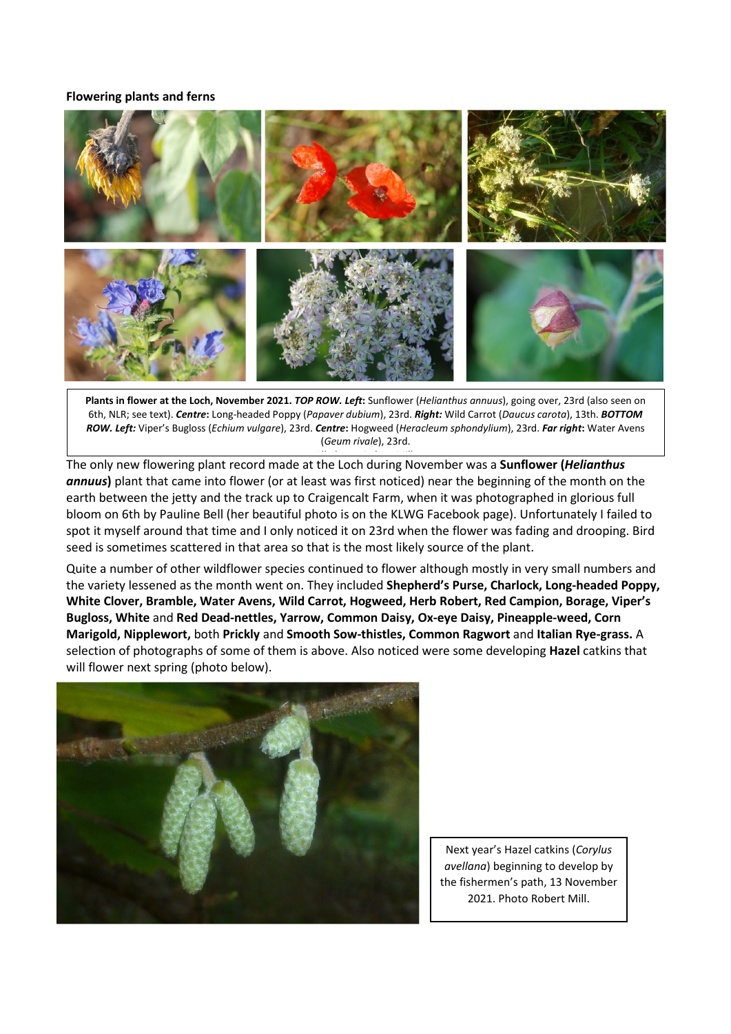### **Flowering plants and ferns**



**Plants in flower at the Loch, November 2021.** *TOP ROW. Left***:** Sunflower (*Helianthus annuus*), going over, 23rd (also seen on 6th, NLR; see text). *Centre***:** Long-headed Poppy (*Papaver dubium*), 23rd. *Right:* Wild Carrot (*Daucus carota*), 13th. *BOTTOM ROW. Left:* Viper's Bugloss (*Echium vulgare*), 23rd. *Centre***:** Hogweed (*Heracleum sphondylium*), 23rd. *Far right***:** Water Avens (*Geum rivale*), 23rd.

L**ACCONG THE ONDET THE SETT THE THE SETT THE LORET THE UPPER THE UPPER THE UPPER THE THE THE THE THE THE THE TH**<br>The only new flowering plant record made at the Loch during November was a **Sunflower (***Helianthus annuus***)** plant that came into flower (or at least was first noticed) near the beginning of the month on the earth between the jetty and the track up to Craigencalt Farm, when it was photographed in glorious full bloom on 6th by Pauline Bell (her beautiful photo is on the KLWG Facebook page). Unfortunately I failed to spot it myself around that time and I only noticed it on 23rd when the flower was fading and drooping. Bird seed is sometimes scattered in that area so that is the most likely source of the plant.

Quite a number of other wildflower species continued to flower although mostly in very small numbers and the variety lessened as the month went on. They included **Shepherd's Purse, Charlock, Long-headed Poppy, White Clover, Bramble, Water Avens, Wild Carrot, Hogweed, Herb Robert, Red Campion, Borage, Viper's Bugloss, White** and **Red Dead-nettles, Yarrow, Common Daisy, Ox-eye Daisy, Pineapple-weed, Corn Marigold, Nipplewort,** both **Prickly** and **Smooth Sow-thistles, Common Ragwort** and **Italian Rye-grass.** A selection of photographs of some of them is above. Also noticed were some developing **Hazel** catkins that will flower next spring (photo below).



Next year's Hazel catkins (*Corylus avellana*) beginning to develop by the fishermen's path, 13 November 2021. Photo Robert Mill.